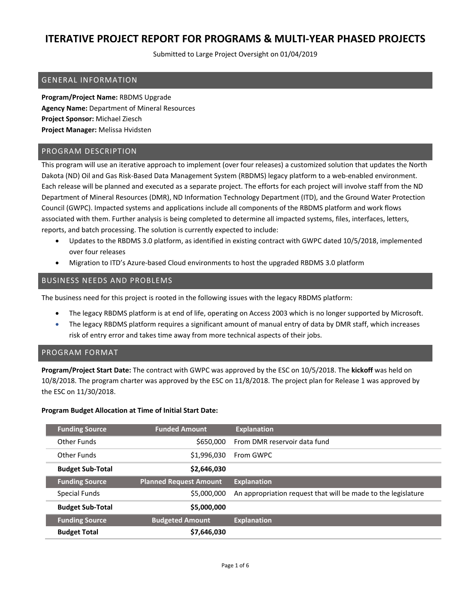Submitted to Large Project Oversight on 01/04/2019

## GENERAL INFORMATION

**Program/Project Name:** RBDMS Upgrade **Agency Name:** Department of Mineral Resources **Project Sponsor:** Michael Ziesch **Project Manager:** Melissa Hvidsten

## PROGRAM DESCRIPTION

This program will use an iterative approach to implement (over four releases) a customized solution that updates the North Dakota (ND) Oil and Gas Risk-Based Data Management System (RBDMS) legacy platform to a web-enabled environment. Each release will be planned and executed as a separate project. The efforts for each project will involve staff from the ND Department of Mineral Resources (DMR), ND Information Technology Department (ITD), and the Ground Water Protection Council (GWPC). Impacted systems and applications include all components of the RBDMS platform and work flows associated with them. Further analysis is being completed to determine all impacted systems, files, interfaces, letters, reports, and batch processing. The solution is currently expected to include:

- Updates to the RBDMS 3.0 platform, as identified in existing contract with GWPC dated 10/5/2018, implemented over four releases
- Migration to ITD's Azure-based Cloud environments to host the upgraded RBDMS 3.0 platform

## BUSINESS NEEDS AND PROBLEMS

The business need for this project is rooted in the following issues with the legacy RBDMS platform:

- The legacy RBDMS platform is at end of life, operating on Access 2003 which is no longer supported by Microsoft.
- The legacy RBDMS platform requires a significant amount of manual entry of data by DMR staff, which increases risk of entry error and takes time away from more technical aspects of their jobs.

## PROGRAM FORMAT

**Program/Project Start Date:** The contract with GWPC was approved by the ESC on 10/5/2018. The **kickoff** was held on 10/8/2018. The program charter was approved by the ESC on 11/8/2018. The project plan for Release 1 was approved by the ESC on 11/30/2018.

## **Program Budget Allocation at Time of Initial Start Date:**

| <b>Funding Source</b>   | <b>Funded Amount</b>          | <b>Explanation</b>                                            |
|-------------------------|-------------------------------|---------------------------------------------------------------|
| Other Funds             | \$650,000                     | From DMR reservoir data fund                                  |
| Other Funds             | \$1,996,030                   | From GWPC                                                     |
| <b>Budget Sub-Total</b> | \$2,646,030                   |                                                               |
| <b>Funding Source</b>   | <b>Planned Request Amount</b> | <b>Explanation</b>                                            |
| Special Funds           | \$5,000,000                   | An appropriation request that will be made to the legislature |
| <b>Budget Sub-Total</b> | \$5,000,000                   |                                                               |
| <b>Funding Source</b>   | <b>Budgeted Amount</b>        | <b>Explanation</b>                                            |
| <b>Budget Total</b>     | \$7,646,030                   |                                                               |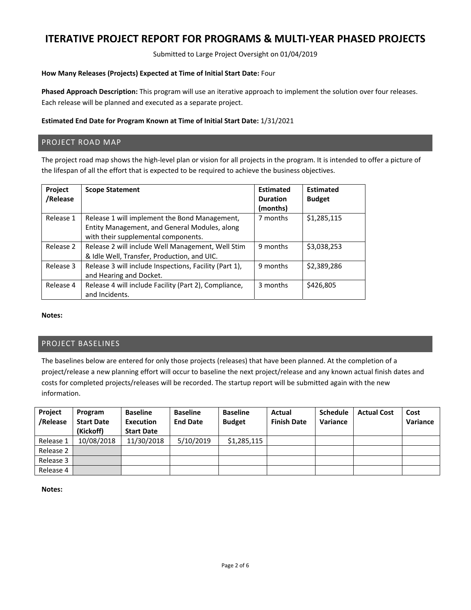Submitted to Large Project Oversight on 01/04/2019

### **How Many Releases (Projects) Expected at Time of Initial Start Date:** Four

**Phased Approach Description:** This program will use an iterative approach to implement the solution over four releases. Each release will be planned and executed as a separate project.

### **Estimated End Date for Program Known at Time of Initial Start Date:** 1/31/2021

## PROJECT ROAD MAP

The project road map shows the high-level plan or vision for all projects in the program. It is intended to offer a picture of the lifespan of all the effort that is expected to be required to achieve the business objectives.

| Project<br>/Release | <b>Scope Statement</b>                                                                                                                | <b>Estimated</b><br><b>Duration</b><br>(months) | <b>Estimated</b><br><b>Budget</b> |
|---------------------|---------------------------------------------------------------------------------------------------------------------------------------|-------------------------------------------------|-----------------------------------|
| Release 1           | Release 1 will implement the Bond Management,<br>Entity Management, and General Modules, along<br>with their supplemental components. | 7 months                                        | \$1,285,115                       |
| Release 2           | Release 2 will include Well Management, Well Stim<br>& Idle Well, Transfer, Production, and UIC.                                      | 9 months                                        | \$3,038,253                       |
| Release 3           | Release 3 will include Inspections, Facility (Part 1),<br>and Hearing and Docket.                                                     | 9 months                                        | \$2,389,286                       |
| Release 4           | Release 4 will include Facility (Part 2), Compliance,<br>and Incidents.                                                               | 3 months                                        | \$426,805                         |

#### **Notes:**

## PROJECT BASELINES

The baselines below are entered for only those projects (releases) that have been planned. At the completion of a project/release a new planning effort will occur to baseline the next project/release and any known actual finish dates and costs for completed projects/releases will be recorded. The startup report will be submitted again with the new information.

| Project<br>/Release | Program<br><b>Start Date</b><br>(Kickoff) | <b>Baseline</b><br>Execution<br><b>Start Date</b> | <b>Baseline</b><br><b>End Date</b> | <b>Baseline</b><br><b>Budget</b> | Actual<br><b>Finish Date</b> | <b>Schedule</b><br>Variance | <b>Actual Cost</b> | Cost<br>Variance |
|---------------------|-------------------------------------------|---------------------------------------------------|------------------------------------|----------------------------------|------------------------------|-----------------------------|--------------------|------------------|
| Release 1           | 10/08/2018                                | 11/30/2018                                        | 5/10/2019                          | \$1,285,115                      |                              |                             |                    |                  |
| Release 2           |                                           |                                                   |                                    |                                  |                              |                             |                    |                  |
| Release 3           |                                           |                                                   |                                    |                                  |                              |                             |                    |                  |
| Release 4           |                                           |                                                   |                                    |                                  |                              |                             |                    |                  |

**Notes:**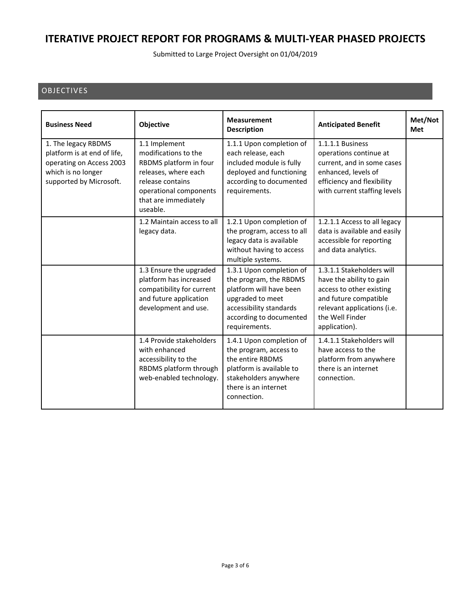Submitted to Large Project Oversight on 01/04/2019

## OBJECTIVES

| <b>Business Need</b>                                                                                                            | <b>Objective</b>                                                                                                                                                          | <b>Measurement</b><br><b>Description</b>                                                                                                                                 | <b>Anticipated Benefit</b>                                                                                                                                                    | Met/Not<br><b>Met</b> |
|---------------------------------------------------------------------------------------------------------------------------------|---------------------------------------------------------------------------------------------------------------------------------------------------------------------------|--------------------------------------------------------------------------------------------------------------------------------------------------------------------------|-------------------------------------------------------------------------------------------------------------------------------------------------------------------------------|-----------------------|
| 1. The legacy RBDMS<br>platform is at end of life,<br>operating on Access 2003<br>which is no longer<br>supported by Microsoft. | 1.1 Implement<br>modifications to the<br>RBDMS platform in four<br>releases, where each<br>release contains<br>operational components<br>that are immediately<br>useable. | 1.1.1 Upon completion of<br>each release, each<br>included module is fully<br>deployed and functioning<br>according to documented<br>requirements.                       | 1.1.1.1 Business<br>operations continue at<br>current, and in some cases<br>enhanced, levels of<br>efficiency and flexibility<br>with current staffing levels                 |                       |
|                                                                                                                                 | 1.2 Maintain access to all<br>legacy data.                                                                                                                                | 1.2.1 Upon completion of<br>the program, access to all<br>legacy data is available<br>without having to access<br>multiple systems.                                      | 1.2.1.1 Access to all legacy<br>data is available and easily<br>accessible for reporting<br>and data analytics.                                                               |                       |
|                                                                                                                                 | 1.3 Ensure the upgraded<br>platform has increased<br>compatibility for current<br>and future application<br>development and use.                                          | 1.3.1 Upon completion of<br>the program, the RBDMS<br>platform will have been<br>upgraded to meet<br>accessibility standards<br>according to documented<br>requirements. | 1.3.1.1 Stakeholders will<br>have the ability to gain<br>access to other existing<br>and future compatible<br>relevant applications (i.e.<br>the Well Finder<br>application). |                       |
|                                                                                                                                 | 1.4 Provide stakeholders<br>with enhanced<br>accessibility to the<br>RBDMS platform through<br>web-enabled technology.                                                    | 1.4.1 Upon completion of<br>the program, access to<br>the entire RBDMS<br>platform is available to<br>stakeholders anywhere<br>there is an internet<br>connection.       | 1.4.1.1 Stakeholders will<br>have access to the<br>platform from anywhere<br>there is an internet<br>connection.                                                              |                       |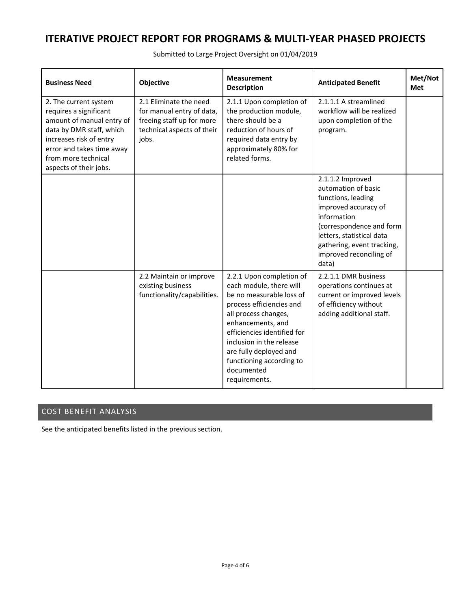Submitted to Large Project Oversight on 01/04/2019

| <b>Business Need</b>                                                                                                                                                                                              | <b>Objective</b>                                                                                                        | <b>Measurement</b><br><b>Description</b>                                                                                                                                                                                                                                                                 | <b>Anticipated Benefit</b>                                                                                                                                                                                                      | Met/Not<br>Met |
|-------------------------------------------------------------------------------------------------------------------------------------------------------------------------------------------------------------------|-------------------------------------------------------------------------------------------------------------------------|----------------------------------------------------------------------------------------------------------------------------------------------------------------------------------------------------------------------------------------------------------------------------------------------------------|---------------------------------------------------------------------------------------------------------------------------------------------------------------------------------------------------------------------------------|----------------|
| 2. The current system<br>requires a significant<br>amount of manual entry of<br>data by DMR staff, which<br>increases risk of entry<br>error and takes time away<br>from more technical<br>aspects of their jobs. | 2.1 Eliminate the need<br>for manual entry of data,<br>freeing staff up for more<br>technical aspects of their<br>jobs. | 2.1.1 Upon completion of<br>the production module,<br>there should be a<br>reduction of hours of<br>required data entry by<br>approximately 80% for<br>related forms.                                                                                                                                    | 2.1.1.1 A streamlined<br>workflow will be realized<br>upon completion of the<br>program.                                                                                                                                        |                |
|                                                                                                                                                                                                                   |                                                                                                                         |                                                                                                                                                                                                                                                                                                          | 2.1.1.2 Improved<br>automation of basic<br>functions, leading<br>improved accuracy of<br>information<br>(correspondence and form<br>letters, statistical data<br>gathering, event tracking,<br>improved reconciling of<br>data) |                |
|                                                                                                                                                                                                                   | 2.2 Maintain or improve<br>existing business<br>functionality/capabilities.                                             | 2.2.1 Upon completion of<br>each module, there will<br>be no measurable loss of<br>process efficiencies and<br>all process changes,<br>enhancements, and<br>efficiencies identified for<br>inclusion in the release<br>are fully deployed and<br>functioning according to<br>documented<br>requirements. | 2.2.1.1 DMR business<br>operations continues at<br>current or improved levels<br>of efficiency without<br>adding additional staff.                                                                                              |                |

## COST BENEFIT ANALYSIS

See the anticipated benefits listed in the previous section.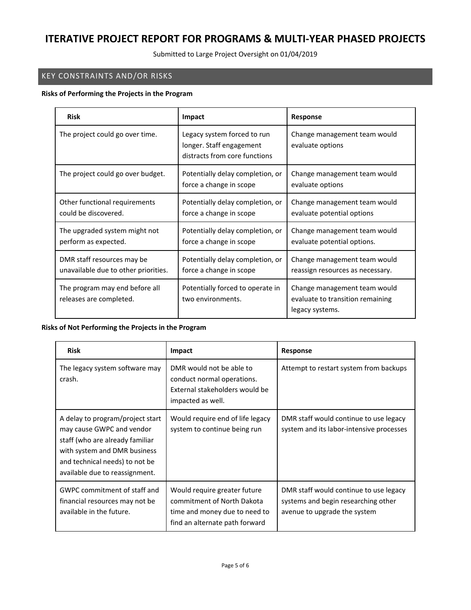Submitted to Large Project Oversight on 01/04/2019

## KEY CONSTRAINTS AND/OR RISKS

### **Risks of Performing the Projects in the Program**

| <b>Risk</b>                                                        | <b>Impact</b>                                                                            | <b>Response</b>                                                                     |  |
|--------------------------------------------------------------------|------------------------------------------------------------------------------------------|-------------------------------------------------------------------------------------|--|
| The project could go over time.                                    | Legacy system forced to run<br>longer. Staff engagement<br>distracts from core functions | Change management team would<br>evaluate options                                    |  |
| The project could go over budget.                                  | Potentially delay completion, or<br>force a change in scope                              | Change management team would<br>evaluate options                                    |  |
| Other functional requirements<br>could be discovered.              | Potentially delay completion, or<br>force a change in scope                              | Change management team would<br>evaluate potential options                          |  |
| The upgraded system might not<br>perform as expected.              | Potentially delay completion, or<br>force a change in scope                              | Change management team would<br>evaluate potential options.                         |  |
| DMR staff resources may be<br>unavailable due to other priorities. | Potentially delay completion, or<br>force a change in scope                              | Change management team would<br>reassign resources as necessary.                    |  |
| The program may end before all<br>releases are completed.          | Potentially forced to operate in<br>two environments.                                    | Change management team would<br>evaluate to transition remaining<br>legacy systems. |  |

### **Risks of Not Performing the Projects in the Program**

| <b>Risk</b>                                                                                                                                                                                          | Impact                                                                                                                        | <b>Response</b>                                                                                               |  |
|------------------------------------------------------------------------------------------------------------------------------------------------------------------------------------------------------|-------------------------------------------------------------------------------------------------------------------------------|---------------------------------------------------------------------------------------------------------------|--|
| The legacy system software may<br>crash.                                                                                                                                                             | DMR would not be able to<br>conduct normal operations.<br>External stakeholders would be<br>impacted as well.                 | Attempt to restart system from backups                                                                        |  |
| A delay to program/project start<br>may cause GWPC and vendor<br>staff (who are already familiar<br>with system and DMR business<br>and technical needs) to not be<br>available due to reassignment. | Would require end of life legacy<br>system to continue being run                                                              | DMR staff would continue to use legacy<br>system and its labor-intensive processes                            |  |
| GWPC commitment of staff and<br>financial resources may not be<br>available in the future.                                                                                                           | Would require greater future<br>commitment of North Dakota<br>time and money due to need to<br>find an alternate path forward | DMR staff would continue to use legacy<br>systems and begin researching other<br>avenue to upgrade the system |  |